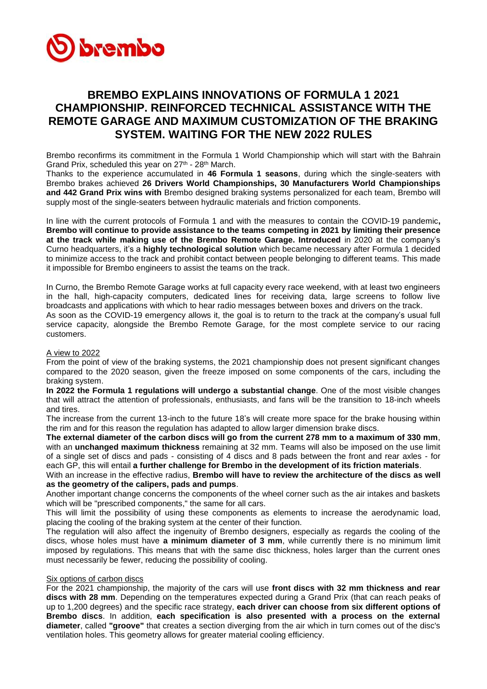

# **BREMBO EXPLAINS INNOVATIONS OF FORMULA 1 2021 CHAMPIONSHIP. REINFORCED TECHNICAL ASSISTANCE WITH THE REMOTE GARAGE AND MAXIMUM CUSTOMIZATION OF THE BRAKING SYSTEM. WAITING FOR THE NEW 2022 RULES**

Brembo reconfirms its commitment in the Formula 1 World Championship which will start with the Bahrain Grand Prix, scheduled this year on  $27<sup>th</sup>$  -  $28<sup>th</sup>$  March.

Thanks to the experience accumulated in **46 Formula 1 seasons**, during which the single-seaters with Brembo brakes achieved **26 Drivers World Championships, 30 Manufacturers World Championships and 442 Grand Prix wins with** Brembo designed braking systems personalized for each team, Brembo will supply most of the single-seaters between hydraulic materials and friction components.

In line with the current protocols of Formula 1 and with the measures to contain the COVID-19 pandemic**, Brembo will continue to provide assistance to the teams competing in 2021 by limiting their presence at the track while making use of the Brembo Remote Garage. Introduced** in 2020 at the company's Curno headquarters, it's a **highly technological solution** which became necessary after Formula 1 decided to minimize access to the track and prohibit contact between people belonging to different teams. This made it impossible for Brembo engineers to assist the teams on the track.

In Curno, the Brembo Remote Garage works at full capacity every race weekend, with at least two engineers in the hall, high-capacity computers, dedicated lines for receiving data, large screens to follow live broadcasts and applications with which to hear radio messages between boxes and drivers on the track. As soon as the COVID-19 emergency allows it, the goal is to return to the track at the company's usual full

service capacity, alongside the Brembo Remote Garage, for the most complete service to our racing customers.

## A view to 2022

From the point of view of the braking systems, the 2021 championship does not present significant changes compared to the 2020 season, given the freeze imposed on some components of the cars, including the braking system.

**In 2022 the Formula 1 regulations will undergo a substantial change**. One of the most visible changes that will attract the attention of professionals, enthusiasts, and fans will be the transition to 18-inch wheels and tires.

The increase from the current 13-inch to the future 18's will create more space for the brake housing within the rim and for this reason the regulation has adapted to allow larger dimension brake discs.

**The external diameter of the carbon discs will go from the current 278 mm to a maximum of 330 mm**, with an **unchanged maximum thickness** remaining at 32 mm. Teams will also be imposed on the use limit of a single set of discs and pads - consisting of 4 discs and 8 pads between the front and rear axles - for each GP, this will entail **a further challenge for Brembo in the development of its friction materials**.

With an increase in the effective radius, **Brembo will have to review the architecture of the discs as well as the geometry of the calipers, pads and pumps**.

Another important change concerns the components of the wheel corner such as the air intakes and baskets which will be "prescribed components," the same for all cars.

This will limit the possibility of using these components as elements to increase the aerodynamic load, placing the cooling of the braking system at the center of their function.

The regulation will also affect the ingenuity of Brembo designers, especially as regards the cooling of the discs, whose holes must have **a minimum diameter of 3 mm**, while currently there is no minimum limit imposed by regulations. This means that with the same disc thickness, holes larger than the current ones must necessarily be fewer, reducing the possibility of cooling.

## Six options of carbon discs

For the 2021 championship, the majority of the cars will use **front discs with 32 mm thickness and rear discs with 28 mm**. Depending on the temperatures expected during a Grand Prix (that can reach peaks of up to 1,200 degrees) and the specific race strategy, **each driver can choose from six different options of Brembo discs**. In addition, **each specification is also presented with a process on the external diameter**, called **"groove"** that creates a section diverging from the air which in turn comes out of the disc's ventilation holes. This geometry allows for greater material cooling efficiency.